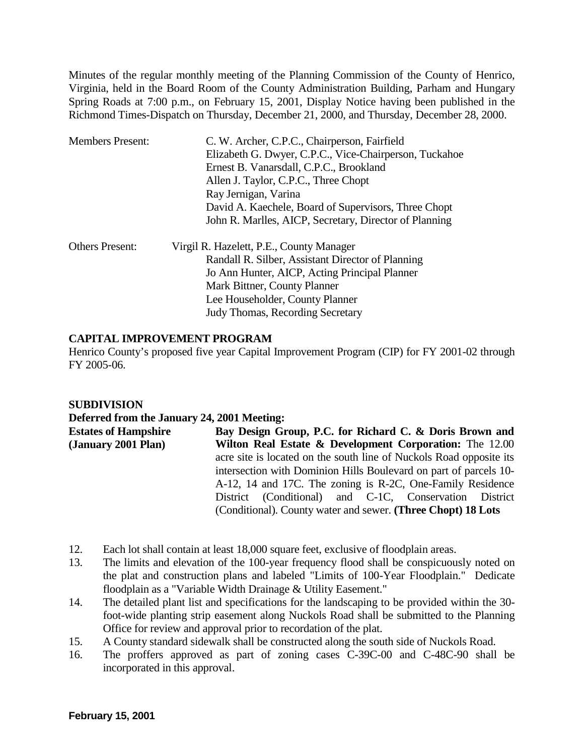Minutes of the regular monthly meeting of the Planning Commission of the County of Henrico, Virginia, held in the Board Room of the County Administration Building, Parham and Hungary Spring Roads at 7:00 p.m., on February 15, 2001, Display Notice having been published in the Richmond Times-Dispatch on Thursday, December 21, 2000, and Thursday, December 28, 2000.

| <b>Members Present:</b> | C. W. Archer, C.P.C., Chairperson, Fairfield<br>Elizabeth G. Dwyer, C.P.C., Vice-Chairperson, Tuckahoe<br>Ernest B. Vanarsdall, C.P.C., Brookland<br>Allen J. Taylor, C.P.C., Three Chopt<br>Ray Jernigan, Varina<br>David A. Kaechele, Board of Supervisors, Three Chopt |
|-------------------------|---------------------------------------------------------------------------------------------------------------------------------------------------------------------------------------------------------------------------------------------------------------------------|
|                         | John R. Marlles, AICP, Secretary, Director of Planning                                                                                                                                                                                                                    |
| <b>Others Present:</b>  | Virgil R. Hazelett, P.E., County Manager<br>Randall R. Silber, Assistant Director of Planning                                                                                                                                                                             |
|                         | Jo Ann Hunter, AICP, Acting Principal Planner                                                                                                                                                                                                                             |
|                         | Mark Bittner, County Planner                                                                                                                                                                                                                                              |
|                         | Lee Householder, County Planner                                                                                                                                                                                                                                           |
|                         | <b>Judy Thomas, Recording Secretary</b>                                                                                                                                                                                                                                   |

### **CAPITAL IMPROVEMENT PROGRAM**

Henrico County's proposed five year Capital Improvement Program (CIP) for FY 2001-02 through FY 2005-06.

# **SUBDIVISION**

#### **Deferred from the January 24, 2001 Meeting:**

| <b>Estates of Hampshire</b> | Bay Design Group, P.C. for Richard C. & Doris Brown and             |
|-----------------------------|---------------------------------------------------------------------|
| (January 2001 Plan)         | Wilton Real Estate & Development Corporation: The 12.00             |
|                             | acre site is located on the south line of Nuckols Road opposite its |
|                             | intersection with Dominion Hills Boulevard on part of parcels 10-   |
|                             | A-12, 14 and 17C. The zoning is R-2C, One-Family Residence          |
|                             | District (Conditional) and C-1C, Conservation District              |
|                             | (Conditional). County water and sewer. (Three Chopt) 18 Lots        |

- 12. Each lot shall contain at least 18,000 square feet, exclusive of floodplain areas.
- 13. The limits and elevation of the 100-year frequency flood shall be conspicuously noted on the plat and construction plans and labeled "Limits of 100-Year Floodplain." Dedicate floodplain as a "Variable Width Drainage & Utility Easement."
- 14. The detailed plant list and specifications for the landscaping to be provided within the 30 foot-wide planting strip easement along Nuckols Road shall be submitted to the Planning Office for review and approval prior to recordation of the plat.
- 15. A County standard sidewalk shall be constructed along the south side of Nuckols Road.
- 16. The proffers approved as part of zoning cases C-39C-00 and C-48C-90 shall be incorporated in this approval.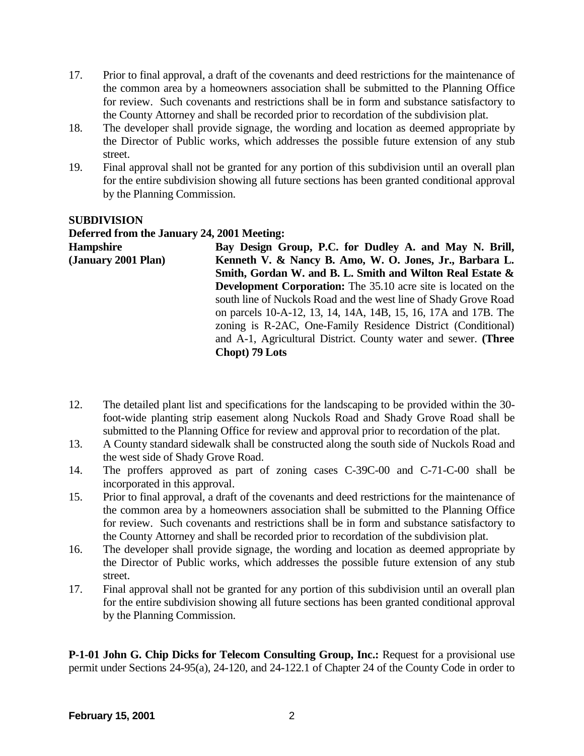- 17. Prior to final approval, a draft of the covenants and deed restrictions for the maintenance of the common area by a homeowners association shall be submitted to the Planning Office for review. Such covenants and restrictions shall be in form and substance satisfactory to the County Attorney and shall be recorded prior to recordation of the subdivision plat.
- 18. The developer shall provide signage, the wording and location as deemed appropriate by the Director of Public works, which addresses the possible future extension of any stub street.
- 19. Final approval shall not be granted for any portion of this subdivision until an overall plan for the entire subdivision showing all future sections has been granted conditional approval by the Planning Commission.

#### **SUBDIVISION Deferred from the January 24, 2001 Meeting: Hampshire (January 2001 Plan) Bay Design Group, P.C. for Dudley A. and May N. Brill, Kenneth V. & Nancy B. Amo, W. O. Jones, Jr., Barbara L. Smith, Gordan W. and B. L. Smith and Wilton Real Estate & Development Corporation:** The 35.10 acre site is located on the south line of Nuckols Road and the west line of Shady Grove Road on parcels 10-A-12, 13, 14, 14A, 14B, 15, 16, 17A and 17B. The zoning is R-2AC, One-Family Residence District (Conditional) and A-1, Agricultural District. County water and sewer. **(Three Chopt) 79 Lots**

- 12. The detailed plant list and specifications for the landscaping to be provided within the 30 foot-wide planting strip easement along Nuckols Road and Shady Grove Road shall be submitted to the Planning Office for review and approval prior to recordation of the plat.
- 13. A County standard sidewalk shall be constructed along the south side of Nuckols Road and the west side of Shady Grove Road.
- 14. The proffers approved as part of zoning cases C-39C-00 and C-71-C-00 shall be incorporated in this approval.
- 15. Prior to final approval, a draft of the covenants and deed restrictions for the maintenance of the common area by a homeowners association shall be submitted to the Planning Office for review. Such covenants and restrictions shall be in form and substance satisfactory to the County Attorney and shall be recorded prior to recordation of the subdivision plat.
- 16. The developer shall provide signage, the wording and location as deemed appropriate by the Director of Public works, which addresses the possible future extension of any stub street.
- 17. Final approval shall not be granted for any portion of this subdivision until an overall plan for the entire subdivision showing all future sections has been granted conditional approval by the Planning Commission.

**P-1-01 John G. Chip Dicks for Telecom Consulting Group, Inc.:** Request for a provisional use permit under Sections 24-95(a), 24-120, and 24-122.1 of Chapter 24 of the County Code in order to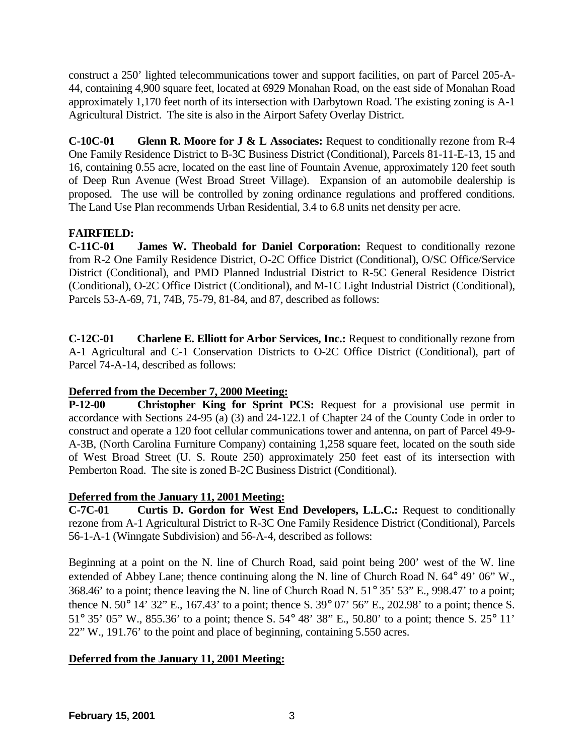construct a 250' lighted telecommunications tower and support facilities, on part of Parcel 205-A-44, containing 4,900 square feet, located at 6929 Monahan Road, on the east side of Monahan Road approximately 1,170 feet north of its intersection with Darbytown Road. The existing zoning is A-1 Agricultural District. The site is also in the Airport Safety Overlay District.

**C-10C-01 Glenn R. Moore for J & L Associates:** Request to conditionally rezone from R-4 One Family Residence District to B-3C Business District (Conditional), Parcels 81-11-E-13, 15 and 16, containing 0.55 acre, located on the east line of Fountain Avenue, approximately 120 feet south of Deep Run Avenue (West Broad Street Village). Expansion of an automobile dealership is proposed. The use will be controlled by zoning ordinance regulations and proffered conditions. The Land Use Plan recommends Urban Residential, 3.4 to 6.8 units net density per acre.

# **FAIRFIELD:**

**C-11C-01 James W. Theobald for Daniel Corporation:** Request to conditionally rezone from R-2 One Family Residence District, O-2C Office District (Conditional), O/SC Office/Service District (Conditional), and PMD Planned Industrial District to R-5C General Residence District (Conditional), O-2C Office District (Conditional), and M-1C Light Industrial District (Conditional), Parcels 53-A-69, 71, 74B, 75-79, 81-84, and 87, described as follows:

**C-12C-01 Charlene E. Elliott for Arbor Services, Inc.:** Request to conditionally rezone from A-1 Agricultural and C-1 Conservation Districts to O-2C Office District (Conditional), part of Parcel 74-A-14, described as follows:

# **Deferred from the December 7, 2000 Meeting:**

**P-12-00 Christopher King for Sprint PCS:** Request for a provisional use permit in accordance with Sections 24-95 (a) (3) and 24-122.1 of Chapter 24 of the County Code in order to construct and operate a 120 foot cellular communications tower and antenna, on part of Parcel 49-9- A-3B, (North Carolina Furniture Company) containing 1,258 square feet, located on the south side of West Broad Street (U. S. Route 250) approximately 250 feet east of its intersection with Pemberton Road. The site is zoned B-2C Business District (Conditional).

# **Deferred from the January 11, 2001 Meeting:**

**C-7C-01 Curtis D. Gordon for West End Developers, L.L.C.:** Request to conditionally rezone from A-1 Agricultural District to R-3C One Family Residence District (Conditional), Parcels 56-1-A-1 (Winngate Subdivision) and 56-A-4, described as follows:

Beginning at a point on the N. line of Church Road, said point being 200' west of the W. line extended of Abbey Lane; thence continuing along the N. line of Church Road N. 64° 49' 06" W., 368.46' to a point; thence leaving the N. line of Church Road N. 51° 35' 53" E., 998.47' to a point; thence N. 50° 14' 32" E., 167.43' to a point; thence S. 39° 07' 56" E., 202.98' to a point; thence S. 51° 35' 05" W., 855.36' to a point; thence S. 54° 48' 38" E., 50.80' to a point; thence S. 25° 11' 22" W., 191.76' to the point and place of beginning, containing 5.550 acres.

# **Deferred from the January 11, 2001 Meeting:**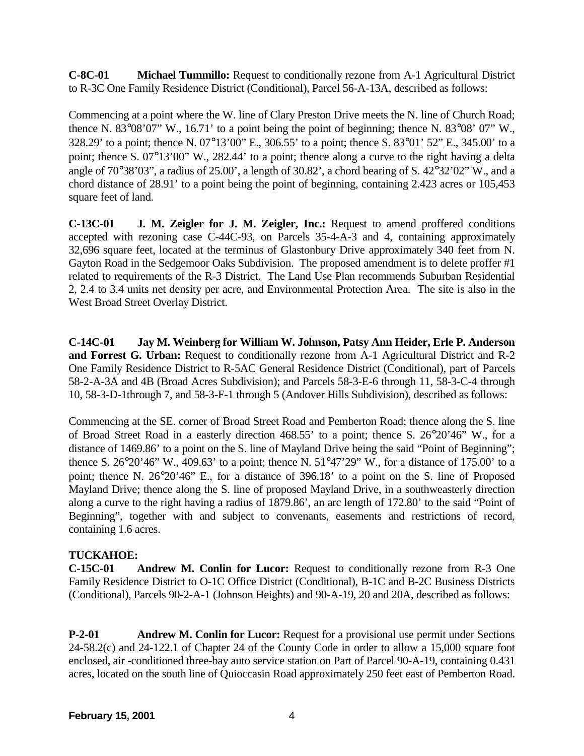**C-8C-01 Michael Tummillo:** Request to conditionally rezone from A-1 Agricultural District to R-3C One Family Residence District (Conditional), Parcel 56-A-13A, described as follows:

Commencing at a point where the W. line of Clary Preston Drive meets the N. line of Church Road; thence N. 83°08'07" W., 16.71' to a point being the point of beginning; thence N. 83°08' 07" W., 328.29' to a point; thence N. 07°13'00" E., 306.55' to a point; thence S. 83°01' 52" E., 345.00' to a point; thence S. 07°13'00" W., 282.44' to a point; thence along a curve to the right having a delta angle of 70°38'03", a radius of 25.00', a length of 30.82', a chord bearing of S. 42°32'02" W., and a chord distance of 28.91' to a point being the point of beginning, containing 2.423 acres or 105,453 square feet of land.

**C-13C-01 J. M. Zeigler for J. M. Zeigler, Inc.:** Request to amend proffered conditions accepted with rezoning case C-44C-93, on Parcels 35-4-A-3 and 4, containing approximately 32,696 square feet, located at the terminus of Glastonbury Drive approximately 340 feet from N. Gayton Road in the Sedgemoor Oaks Subdivision. The proposed amendment is to delete proffer #1 related to requirements of the R-3 District. The Land Use Plan recommends Suburban Residential 2, 2.4 to 3.4 units net density per acre, and Environmental Protection Area. The site is also in the West Broad Street Overlay District.

**C-14C-01 Jay M. Weinberg for William W. Johnson, Patsy Ann Heider, Erle P. Anderson and Forrest G. Urban:** Request to conditionally rezone from A-1 Agricultural District and R-2 One Family Residence District to R-5AC General Residence District (Conditional), part of Parcels 58-2-A-3A and 4B (Broad Acres Subdivision); and Parcels 58-3-E-6 through 11, 58-3-C-4 through 10, 58-3-D-1through 7, and 58-3-F-1 through 5 (Andover Hills Subdivision), described as follows:

Commencing at the SE. corner of Broad Street Road and Pemberton Road; thence along the S. line of Broad Street Road in a easterly direction 468.55' to a point; thence S. 26°20'46" W., for a distance of 1469.86' to a point on the S. line of Mayland Drive being the said "Point of Beginning"; thence S. 26°20'46" W., 409.63' to a point; thence N. 51°47'29" W., for a distance of 175.00' to a point; thence N. 26°20'46" E., for a distance of 396.18' to a point on the S. line of Proposed Mayland Drive; thence along the S. line of proposed Mayland Drive, in a southweasterly direction along a curve to the right having a radius of 1879.86', an arc length of 172.80' to the said "Point of Beginning", together with and subject to convenants, easements and restrictions of record, containing 1.6 acres.

# **TUCKAHOE:**

**C-15C-01 Andrew M. Conlin for Lucor:** Request to conditionally rezone from R-3 One Family Residence District to O-1C Office District (Conditional), B-1C and B-2C Business Districts (Conditional), Parcels 90-2-A-1 (Johnson Heights) and 90-A-19, 20 and 20A, described as follows:

**P-2-01** Andrew M. Conlin for Lucor: Request for a provisional use permit under Sections 24-58.2(c) and 24-122.1 of Chapter 24 of the County Code in order to allow a 15,000 square foot enclosed, air -conditioned three-bay auto service station on Part of Parcel 90-A-19, containing 0.431 acres, located on the south line of Quioccasin Road approximately 250 feet east of Pemberton Road.